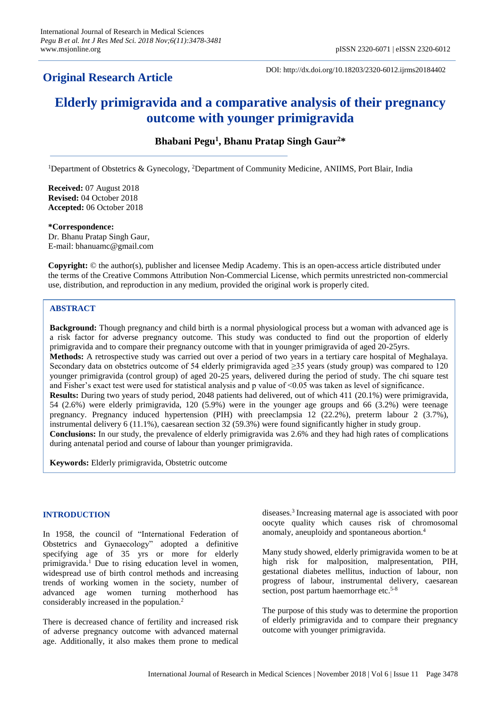# **Original Research Article**

DOI: http://dx.doi.org/10.18203/2320-6012.ijrms20184402

# **Elderly primigravida and a comparative analysis of their pregnancy outcome with younger primigravida**

**Bhabani Pegu<sup>1</sup> , Bhanu Pratap Singh Gaur<sup>2</sup>\***

<sup>1</sup>Department of Obstetrics & Gynecology, <sup>2</sup>Department of Community Medicine, ANIIMS, Port Blair, India

**Received:** 07 August 2018 **Revised:** 04 October 2018 **Accepted:** 06 October 2018

**\*Correspondence:** Dr. Bhanu Pratap Singh Gaur, E-mail: bhanuamc@gmail.com

**Copyright:** © the author(s), publisher and licensee Medip Academy. This is an open-access article distributed under the terms of the Creative Commons Attribution Non-Commercial License, which permits unrestricted non-commercial use, distribution, and reproduction in any medium, provided the original work is properly cited.

# **ABSTRACT**

**Background:** Though pregnancy and child birth is a normal physiological process but a woman with advanced age is a risk factor for adverse pregnancy outcome. This study was conducted to find out the proportion of elderly primigravida and to compare their pregnancy outcome with that in younger primigravida of aged 20-25yrs. **Methods:** A retrospective study was carried out over a period of two years in a tertiary care hospital of Meghalaya. Secondary data on obstetrics outcome of 54 elderly primigravida aged ≥35 years (study group) was compared to 120 younger primigravida (control group) of aged 20-25 years, delivered during the period of study. The chi square test and Fisher's exact test were used for statistical analysis and p value of <0.05 was taken as level of significance. **Results:** During two years of study period, 2048 patients had delivered, out of which 411 (20.1%) were primigravida, 54 (2.6%) were elderly primigravida, 120 (5.9%) were in the younger age groups and 66 (3.2%) were teenage pregnancy. Pregnancy induced hypertension (PIH) with preeclampsia 12 (22.2%), preterm labour 2 (3.7%), instrumental delivery 6 (11.1%), caesarean section 32 (59.3%) were found significantly higher in study group. **Conclusions:** In our study, the prevalence of elderly primigravida was 2.6% and they had high rates of complications during antenatal period and course of labour than younger primigravida.

**Keywords:** Elderly primigravida, Obstetric outcome

# **INTRODUCTION**

In 1958, the council of "International Federation of Obstetrics and Gynaecology" adopted a definitive specifying age of 35 yrs or more for elderly primigravida.<sup>1</sup> Due to rising education level in women, widespread use of birth control methods and increasing trends of working women in the society, number of advanced age women turning motherhood has considerably increased in the population.<sup>2</sup>

There is decreased chance of fertility and increased risk of adverse pregnancy outcome with advanced maternal age. Additionally, it also makes them prone to medical

diseases.<sup>3</sup> Increasing maternal age is associated with poor oocyte quality which causes risk of chromosomal anomaly, aneuploidy and spontaneous abortion.<sup>4</sup>

Many study showed, elderly primigravida women to be at high risk for malposition, malpresentation, PIH, gestational diabetes mellitus, induction of labour, non progress of labour, instrumental delivery, caesarean section, post partum haemorrhage etc.<sup>5-8</sup>

The purpose of this study was to determine the proportion of elderly primigravida and to compare their pregnancy outcome with younger primigravida.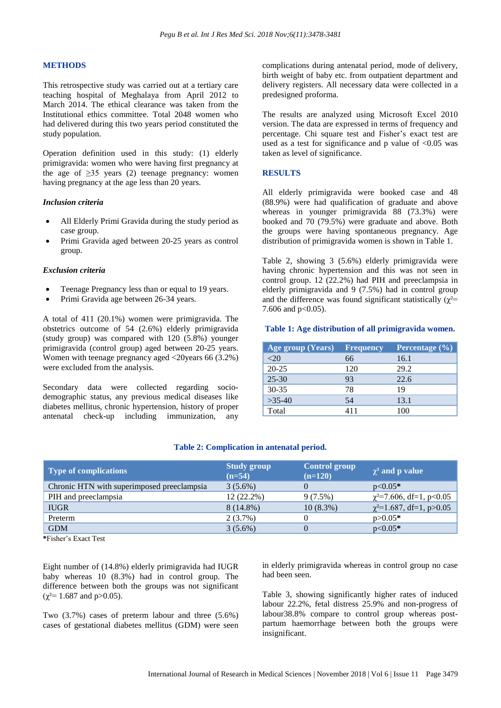# **METHODS**

This retrospective study was carried out at a tertiary care teaching hospital of Meghalaya from April 2012 to March 2014. The ethical clearance was taken from the Institutional ethics committee. Total 2048 women who had delivered during this two years period constituted the study population.

Operation definition used in this study: (1) elderly primigravida: women who were having first pregnancy at the age of  $\geq$ 35 years (2) teenage pregnancy: women having pregnancy at the age less than 20 years.

#### *Inclusion criteria*

- All Elderly Primi Gravida during the study period as case group.
- Primi Gravida aged between 20-25 years as control group.

#### *Exclusion criteria*

- Teenage Pregnancy less than or equal to 19 years.
- Primi Gravida age between 26-34 years.

A total of 411 (20.1%) women were primigravida. The obstetrics outcome of 54 (2.6%) elderly primigravida (study group) was compared with 120 (5.8%) younger primigravida (control group) aged between 20-25 years. Women with teenage pregnancy aged <20years 66 (3.2%) were excluded from the analysis.

Secondary data were collected regarding sociodemographic status, any previous medical diseases like diabetes mellitus, chronic hypertension, history of proper antenatal check-up including immunization, any

complications during antenatal period, mode of delivery, birth weight of baby etc. from outpatient department and delivery registers. All necessary data were collected in a predesigned proforma.

The results are analyzed using Microsoft Excel 2010 version. The data are expressed in terms of frequency and percentage. Chi square test and Fisher's exact test are used as a test for significance and p value of  $\leq 0.05$  was taken as level of significance.

#### **RESULTS**

All elderly primigravida were booked case and 48 (88.9%) were had qualification of graduate and above whereas in younger primigravida 88 (73.3%) were booked and 70 (79.5%) were graduate and above. Both the groups were having spontaneous pregnancy. Age distribution of primigravida women is shown in Table 1.

Table 2, showing 3 (5.6%) elderly primigravida were having chronic hypertension and this was not seen in control group. 12 (22.2%) had PIH and preeclampsia in elderly primigravida and 9 (7.5%) had in control group and the difference was found significant statistically ( $\gamma^2$ = 7.606 and  $p<0.05$ ).

#### **Table 1: Age distribution of all primigravida women.**

| Age group (Years) | <b>Frequency</b> | Percentage (%) |
|-------------------|------------------|----------------|
| $<$ 20            | 66               | 16.1           |
| $20 - 25$         | 120              | 29.2           |
| $25 - 30$         | 93               | 22.6           |
| $30 - 35$         | 78               | 19             |
| $>35-40$          | 54               | 13.1           |
| Total             | 411              | 100            |

#### **Table 2: Complication in antenatal period.**

| <b>Type of complications</b>               | <b>Study group</b><br>$(n=54)$ | <b>Control group</b><br>$(n=120)$ | $\chi^2$ and p value          |
|--------------------------------------------|--------------------------------|-----------------------------------|-------------------------------|
| Chronic HTN with superimposed preeclampsia | $3(5.6\%)$                     |                                   | $p<0.05*$                     |
| PIH and preeclampsia                       | 12 (22.2%)                     | 9(7.5%)                           | $\chi^2$ =7.606, df=1, p<0.05 |
| <b>IUGR</b>                                | $8(14.8\%)$                    | $10(8.3\%)$                       | $\chi^2$ =1.687, df=1, p>0.05 |
| Preterm                                    | $2(3.7\%)$                     |                                   | $p > 0.05*$                   |
| <b>GDM</b>                                 | $3(5.6\%)$                     |                                   | $p<0.05*$                     |

**\***Fisher's Exact Test

Eight number of (14.8%) elderly primigravida had IUGR baby whereas 10 (8.3%) had in control group. The difference between both the groups was not significant  $(\chi^2 = 1.687 \text{ and } p > 0.05).$ 

Two (3.7%) cases of preterm labour and three (5.6%) cases of gestational diabetes mellitus (GDM) were seen in elderly primigravida whereas in control group no case had been seen.

Table 3, showing significantly higher rates of induced labour 22.2%, fetal distress 25.9% and non-progress of labour38.8% compare to control group whereas postpartum haemorrhage between both the groups were insignificant.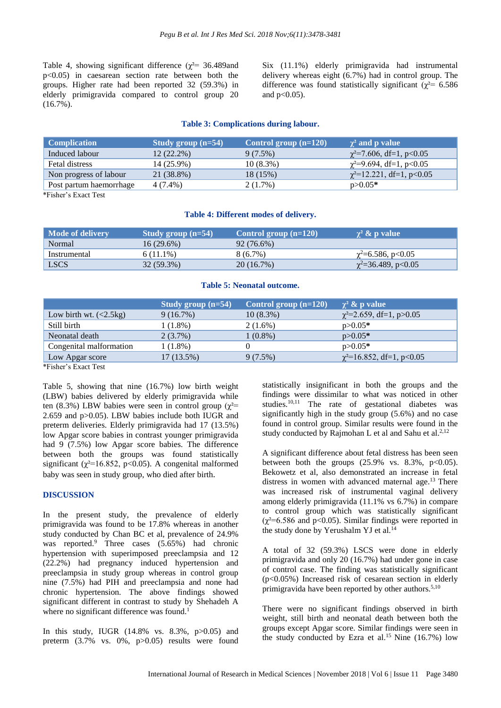Table 4, showing significant difference ( $\chi^2$ = 36.489and p<0.05) in caesarean section rate between both the groups. Higher rate had been reported 32 (59.3%) in elderly primigravida compared to control group 20  $(16.7\%)$ .

Six (11.1%) elderly primigravida had instrumental delivery whereas eight (6.7%) had in control group. The difference was found statistically significant ( $\chi^2$ = 6.586 and  $p<0.05$ ).

#### **Table 3: Complications during labour.**

| <b>Complication</b>     | Study group $(n=54)$ | Control group $(n=120)$ | $\chi^2$ and p value           |
|-------------------------|----------------------|-------------------------|--------------------------------|
| Induced labour          | $12(22.2\%)$         | $9(7.5\%)$              | $\chi^2$ =7.606, df=1, p<0.05  |
| Fetal distress          | 14 (25.9%)           | $10(8.3\%)$             | $\chi^2$ =9.694, df=1, p<0.05  |
| Non progress of labour  | 21 (38.8%)           | 18 (15%)                | $\chi^2$ =12.221, df=1, p<0.05 |
| Post partum haemorrhage | 4 (7.4%)             | 2(1.7%)                 | $p > 0.05*$                    |

\*Fisher's Exact Test

#### **Table 4: Different modes of delivery.**

| Mode of delivery | Study group $(n=54)$ | Control group $(n=120)$ | $\gamma^2$ & p value        |
|------------------|----------------------|-------------------------|-----------------------------|
| Normal           | 16(29.6%)            | 92 (76.6%)              |                             |
| Instrumental     | $6(11.1\%)$          | 8 (6.7%)                | $\gamma^2 = 6.586$ , p<0.05 |
| <b>LSCS</b>      | 32 (59.3%)           | 20(16.7%)               | $\chi^2$ =36.489, p<0.05    |

#### **Table 5: Neonatal outcome.**

|                          | Study group $(n=54)$ | Control group $(n=120)$ | $\chi^2$ & p value             |
|--------------------------|----------------------|-------------------------|--------------------------------|
| Low birth wt. $(<2.5kg)$ | 9(16.7%)             | $10(8.3\%)$             | $\chi^2$ =2.659, df=1, p>0.05  |
| Still birth              | 1 (1.8%)             | $2(1.6\%)$              | $p > 0.05*$                    |
| Neonatal death           | $2(3.7\%)$           | $1(0.8\%)$              | $p > 0.05*$                    |
| Congenital malformation  | 1 (1.8%)             |                         | $p > 0.05*$                    |
| Low Apgar score          | 17 (13.5%)           | 9(7.5%)                 | $\chi^2$ =16.852, df=1, p<0.05 |

\*Fisher's Exact Test

Table 5, showing that nine (16.7%) low birth weight (LBW) babies delivered by elderly primigravida while ten (8.3%) LBW babies were seen in control group ( $\gamma^2$ = 2.659 and p>0.05). LBW babies include both IUGR and preterm deliveries. Elderly primigravida had 17 (13.5%) low Apgar score babies in contrast younger primigravida had 9 (7.5%) low Apgar score babies. The difference between both the groups was found statistically significant ( $\chi^2$ =16.852, p<0.05). A congenital malformed baby was seen in study group, who died after birth.

#### **DISCUSSION**

In the present study, the prevalence of elderly primigravida was found to be 17.8% whereas in another study conducted by Chan BC et al, prevalence of 24.9% was reported.<sup>9</sup> Three cases (5.65%) had chronic hypertension with superimposed preeclampsia and 12 (22.2%) had pregnancy induced hypertension and preeclampsia in study group whereas in control group nine (7.5%) had PIH and preeclampsia and none had chronic hypertension. The above findings showed significant different in contrast to study by Shehadeh A where no significant difference was found.<sup>1</sup>

In this study, IUGR (14.8% vs. 8.3%, p>0.05) and preterm (3.7% vs. 0%, p>0.05) results were found

statistically insignificant in both the groups and the findings were dissimilar to what was noticed in other studies.10,11 The rate of gestational diabetes was significantly high in the study group (5.6%) and no case found in control group. Similar results were found in the study conducted by Rajmohan L et al and Sahu et al.<sup>2,12</sup>

A significant difference about fetal distress has been seen between both the groups  $(25.9\% \text{ vs. } 8.3\%, \text{ p} < 0.05)$ . Bekowetz et al, also demonstrated an increase in fetal distress in women with advanced maternal age.<sup>13</sup> There was increased risk of instrumental vaginal delivery among elderly primigravida (11.1% vs 6.7%) in compare to control group which was statistically significant  $(\chi^2=6.586$  and p<0.05). Similar findings were reported in the study done by Yerushalm YJ et al.<sup>14</sup>

A total of 32 (59.3%) LSCS were done in elderly primigravida and only 20 (16.7%) had under gone in case of control case. The finding was statistically significant (p<0.05%) Increased risk of cesarean section in elderly primigravida have been reported by other authors.<sup>5,10</sup>

There were no significant findings observed in birth weight, still birth and neonatal death between both the groups except Apgar score. Similar findings were seen in the study conducted by Ezra et al.<sup>15</sup> Nine  $(16.7%)$  low